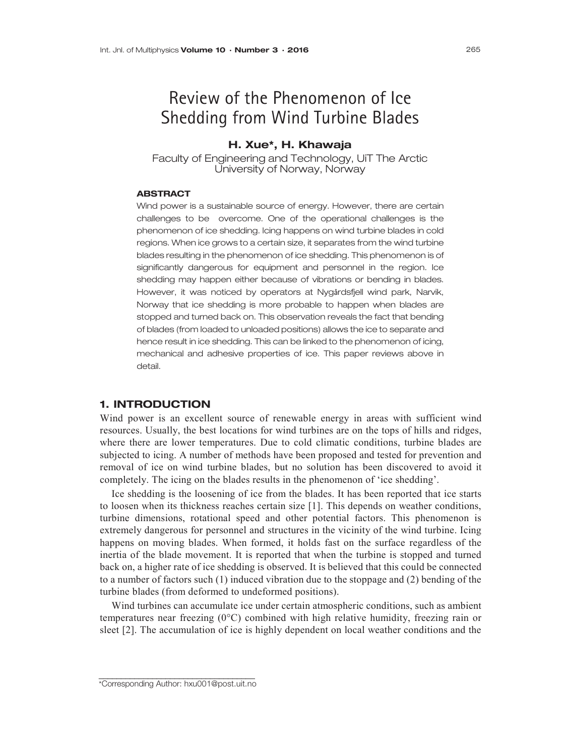# Review of the Phenomenon of Ice Shedding from Wind Turbine Blades

## H. Xue\*, H. Khawaja

Faculty of Engineering and Technology, UiT The Arctic University of Norway, Norway

#### **ABSTRACT**

Wind power is a sustainable source of energy. However, there are certain challenges to be overcome. One of the operational challenges is the phenomenon of ice shedding. Icing happens on wind turbine blades in cold regions. When ice grows to a certain size, it separates from the wind turbine blades resulting in the phenomenon of ice shedding. This phenomenon is of significantly dangerous for equipment and personnel in the region. Ice shedding may happen either because of vibrations or bending in blades. However, it was noticed by operators at Nygårdsfjell wind park, Narvik, Norway that ice shedding is more probable to happen when blades are stopped and turned back on. This observation reveals the fact that bending of blades (from loaded to unloaded positions) allows the ice to separate and hence result in ice shedding. This can be linked to the phenomenon of icing, mechanical and adhesive properties of ice. This paper reviews above in detail.

#### 1. INTRODUCTION

Wind power is an excellent source of renewable energy in areas with sufficient wind resources. Usually, the best locations for wind turbines are on the tops of hills and ridges, where there are lower temperatures. Due to cold climatic conditions, turbine blades are subjected to icing. A number of methods have been proposed and tested for prevention and removal of ice on wind turbine blades, but no solution has been discovered to avoid it completely. The icing on the blades results in the phenomenon of 'ice shedding'.

Ice shedding is the loosening of ice from the blades. It has been reported that ice starts to loosen when its thickness reaches certain size [1]. This depends on weather conditions, turbine dimensions, rotational speed and other potential factors. This phenomenon is extremely dangerous for personnel and structures in the vicinity of the wind turbine. Icing happens on moving blades. When formed, it holds fast on the surface regardless of the inertia of the blade movement. It is reported that when the turbine is stopped and turned back on, a higher rate of ice shedding is observed. It is believed that this could be connected to a number of factors such (1) induced vibration due to the stoppage and (2) bending of the turbine blades (from deformed to undeformed positions).

Wind turbines can accumulate ice under certain atmospheric conditions, such as ambient temperatures near freezing (0°C) combined with high relative humidity, freezing rain or sleet [2]. The accumulation of ice is highly dependent on local weather conditions and the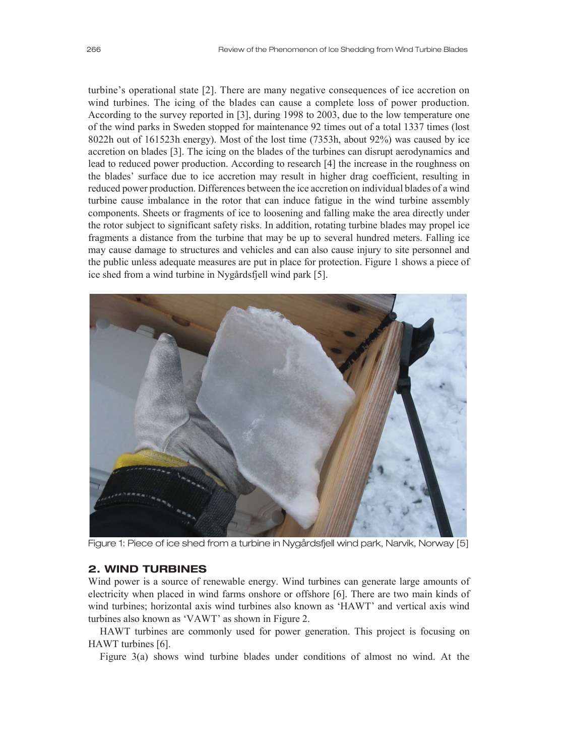turbine's operational state [2]. There are many negative consequences of ice accretion on wind turbines. The icing of the blades can cause a complete loss of power production. According to the survey reported in [3], during 1998 to 2003, due to the low temperature one of the wind parks in Sweden stopped for maintenance 92 times out of a total 1337 times (lost 8022h out of 161523h energy). Most of the lost time (7353h, about 92%) was caused by ice accretion on blades [3]. The icing on the blades of the turbines can disrupt aerodynamics and lead to reduced power production. According to research [4] the increase in the roughness on the blades' surface due to ice accretion may result in higher drag coefficient, resulting in reduced power production. Differences between the ice accretion on individual blades of a wind turbine cause imbalance in the rotor that can induce fatigue in the wind turbine assembly components. Sheets or fragments of ice to loosening and falling make the area directly under the rotor subject to significant safety risks. In addition, rotating turbine blades may propel ice fragments a distance from the turbine that may be up to several hundred meters. Falling ice may cause damage to structures and vehicles and can also cause injury to site personnel and the public unless adequate measures are put in place for protection. Figure 1 shows a piece of ice shed from a wind turbine in Nygårdsfjell wind park [5].



Figure 1: Piece of ice shed from a turbine in Nygårdsfjell wind park, Narvik, Norway [5]

### 2. WIND TURBINES

Wind power is a source of renewable energy. Wind turbines can generate large amounts of electricity when placed in wind farms onshore or offshore [6]. There are two main kinds of wind turbines; horizontal axis wind turbines also known as 'HAWT' and vertical axis wind turbines also known as 'VAWT' as shown in Figure 2.

HAWT turbines are commonly used for power generation. This project is focusing on HAWT turbines [6].

Figure 3(a) shows wind turbine blades under conditions of almost no wind. At the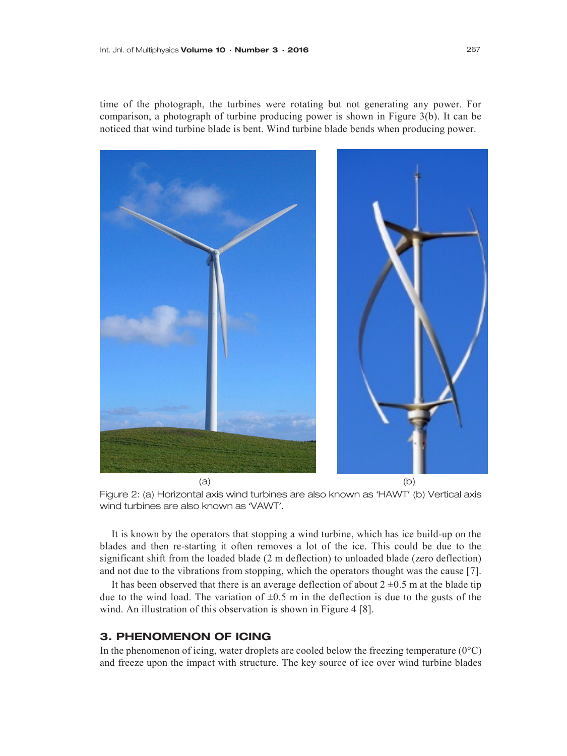time of the photograph, the turbines were rotating but not generating any power. For comparison, a photograph of turbine producing power is shown in Figure 3(b). It can be noticed that wind turbine blade is bent. Wind turbine blade bends when producing power.



Figure 2: (a) Horizontal axis wind turbines are also known as 'HAWT' (b) Vertical axis wind turbines are also known as 'VAWT'.

It is known by the operators that stopping a wind turbine, which has ice build-up on the blades and then re-starting it often removes a lot of the ice. This could be due to the significant shift from the loaded blade (2 m deflection) to unloaded blade (zero deflection) and not due to the vibrations from stopping, which the operators thought was the cause [7].

It has been observed that there is an average deflection of about  $2 \pm 0.5$  m at the blade tip due to the wind load. The variation of  $\pm 0.5$  m in the deflection is due to the gusts of the wind. An illustration of this observation is shown in Figure 4 [8].

# 3. PHENOMENON OF ICING

In the phenomenon of icing, water droplets are cooled below the freezing temperature  $(0^{\circ}C)$ and freeze upon the impact with structure. The key source of ice over wind turbine blades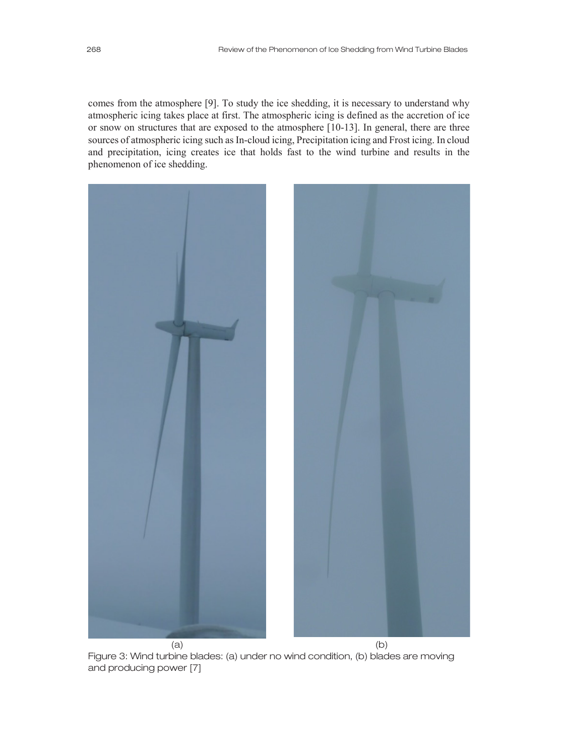comes from the atmosphere [9]. To study the ice shedding, it is necessary to understand why atmospheric icing takes place at first. The atmospheric icing is defined as the accretion of ice or snow on structures that are exposed to the atmosphere [10-13]. In general, there are three sources of atmospheric icing such as In-cloud icing, Precipitation icing and Frost icing. In cloud and precipitation, icing creates ice that holds fast to the wind turbine and results in the phenomenon of ice shedding.



Figure 3: Wind turbine blades: (a) under no wind condition, (b) blades are moving and producing power [7]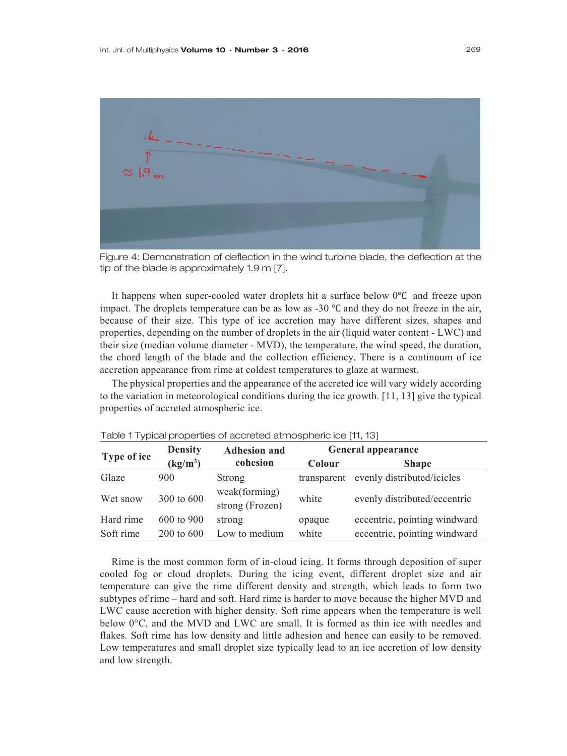

Figure 4: Demonstration of deflection in the wind turbine blade, the deflection at the tip of the blade is approximately 1.9 m [7].

It happens when super-cooled water droplets hit a surface below 0℃ and freeze upon impact. The droplets temperature can be as low as -30 ℃ and they do not freeze in the air, because of their size. This type of ice accretion may have different sizes, shapes and properties, depending on the number of droplets in the air (liquid water content - LWC) and their size (median volume diameter - MVD), the temperature, the wind speed, the duration, the chord length of the blade and the collection efficiency. There is a continuum of ice accretion appearance from rime at coldest temperatures to glaze at warmest.

The physical properties and the appearance of the accreted ice will vary widely according to the variation in meteorological conditions during the ice growth. [11, 13] give the typical properties of accreted atmospheric ice.

| Type of ice | <b>Density</b>                 | <b>Adhesion and</b>              | General appearance |                              |
|-------------|--------------------------------|----------------------------------|--------------------|------------------------------|
|             | $\frac{\text{kg}}{\text{m}^3}$ | cohesion                         | Colour             | <b>Shape</b>                 |
| Glaze       | 900                            | Strong                           | transparent        | evenly distributed/icicles   |
| Wet snow    | 300 to 600                     | weak(forming)<br>strong (Frozen) | white              | evenly distributed/eccentric |
| Hard rime   | 600 to 900                     | strong                           | opaque             | eccentric, pointing windward |
| Soft rime   | 200 to 600                     | Low to medium                    | white              | eccentric, pointing windward |

Table 1 Typical properties of accreted atmospheric ice [11, 13]

Rime is the most common form of in-cloud icing. It forms through deposition of super cooled fog or cloud droplets. During the icing event, different droplet size and air temperature can give the rime different density and strength, which leads to form two subtypes of rime – hard and soft. Hard rime is harder to move because the higher MVD and LWC cause accretion with higher density. Soft rime appears when the temperature is well below  $0^{\circ}$ C, and the MVD and LWC are small. It is formed as thin ice with needles and flakes. Soft rime has low density and little adhesion and hence can easily to be removed. Low temperatures and small droplet size typically lead to an ice accretion of low density and low strength.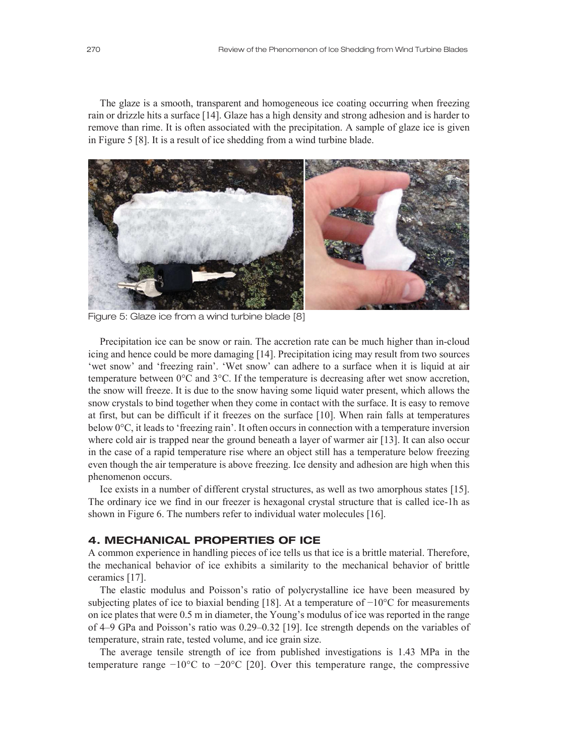The glaze is a smooth, transparent and homogeneous ice coating occurring when freezing rain or drizzle hits a surface [14]. Glaze has a high density and strong adhesion and is harder to remove than rime. It is often associated with the precipitation. A sample of glaze ice is given in Figure 5 [8]. It is a result of ice shedding from a wind turbine blade.



Figure 5: Glaze ice from a wind turbine blade [8]

Precipitation ice can be snow or rain. The accretion rate can be much higher than in-cloud icing and hence could be more damaging [14]. Precipitation icing may result from two sources 'wet snow' and 'freezing rain'. 'Wet snow' can adhere to a surface when it is liquid at air temperature between 0°C and 3°C. If the temperature is decreasing after wet snow accretion, the snow will freeze. It is due to the snow having some liquid water present, which allows the snow crystals to bind together when they come in contact with the surface. It is easy to remove at first, but can be difficult if it freezes on the surface [10]. When rain falls at temperatures below 0°C, it leads to 'freezing rain'. It often occurs in connection with a temperature inversion where cold air is trapped near the ground beneath a layer of warmer air [13]. It can also occur in the case of a rapid temperature rise where an object still has a temperature below freezing even though the air temperature is above freezing. Ice density and adhesion are high when this phenomenon occurs.

Ice exists in a number of different crystal structures, as well as two amorphous states [15]. The ordinary ice we find in our freezer is hexagonal crystal structure that is called ice-1h as shown in Figure 6. The numbers refer to individual water molecules [16].

#### 4. MECHANICAL PROPERTIES OF ICE

A common experience in handling pieces of ice tells us that ice is a brittle material. Therefore, the mechanical behavior of ice exhibits a similarity to the mechanical behavior of brittle ceramics [17].

The elastic modulus and Poisson's ratio of polycrystalline ice have been measured by subjecting plates of ice to biaxial bending [18]. At a temperature of −10°C for measurements on ice plates that were 0.5 m in diameter, the Young's modulus of ice was reported in the range of 4–9 GPa and Poisson's ratio was 0.29–0.32 [19]. Ice strength depends on the variables of temperature, strain rate, tested volume, and ice grain size.

The average tensile strength of ice from published investigations is 1.43 MPa in the temperature range  $-10^{\circ}$ C to  $-20^{\circ}$ C [20]. Over this temperature range, the compressive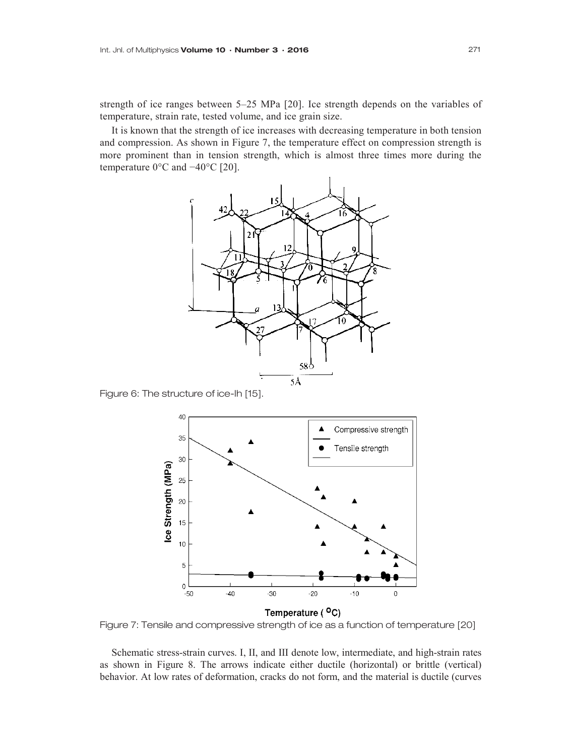strength of ice ranges between 5–25 MPa [20]. Ice strength depends on the variables of temperature, strain rate, tested volume, and ice grain size.

It is known that the strength of ice increases with decreasing temperature in both tension and compression. As shown in Figure 7, the temperature effect on compression strength is more prominent than in tension strength, which is almost three times more during the temperature 0°C and −40°C [20].



Figure 6: The structure of ice-Ih [15].



Figure 7: Tensile and compressive strength of ice as a function of temperature [20]

Schematic stress-strain curves. I, II, and III denote low, intermediate, and high-strain rates as shown in Figure 8. The arrows indicate either ductile (horizontal) or brittle (vertical) behavior. At low rates of deformation, cracks do not form, and the material is ductile (curves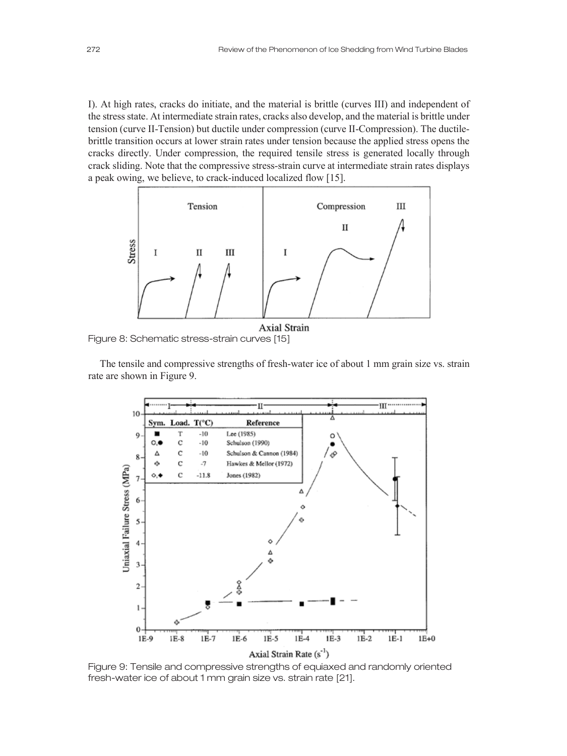I). At high rates, cracks do initiate, and the material is brittle (curves III) and independent of the stress state. At intermediate strain rates, cracks also develop, and the material is brittle under tension (curve II-Tension) but ductile under compression (curve II-Compression). The ductilebrittle transition occurs at lower strain rates under tension because the applied stress opens the cracks directly. Under compression, the required tensile stress is generated locally through crack sliding. Note that the compressive stress-strain curve at intermediate strain rates displays a peak owing, we believe, to crack-induced localized flow [15].



Figure 8: Schematic stress-strain curves [15]

The tensile and compressive strengths of fresh-water ice of about 1 mm grain size vs. strain rate are shown in Figure 9.



Figure 9: Tensile and compressive strengths of equiaxed and randomly oriented fresh-water ice of about 1 mm grain size vs. strain rate [21].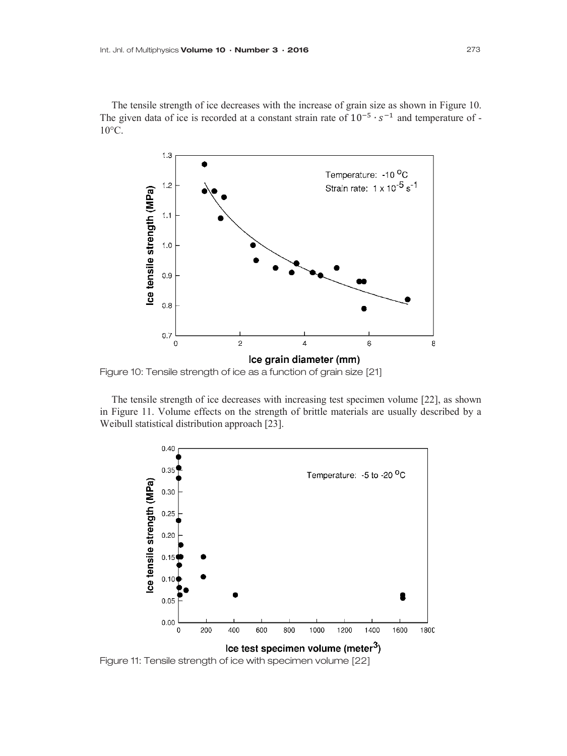The tensile strength of ice decreases with the increase of grain size as shown in Figure 10. The given data of ice is recorded at a constant strain rate of  $10^{-5} \cdot s^{-1}$  and temperature of - $10^{\circ}$ C.



Figure 10: Tensile strength of ice as a function of grain size [21]

The tensile strength of ice decreases with increasing test specimen volume [22], as shown in Figure 11. Volume effects on the strength of brittle materials are usually described by a Weibull statistical distribution approach [23].



Figure 11: Tensile strength of ice with specimen volume [22]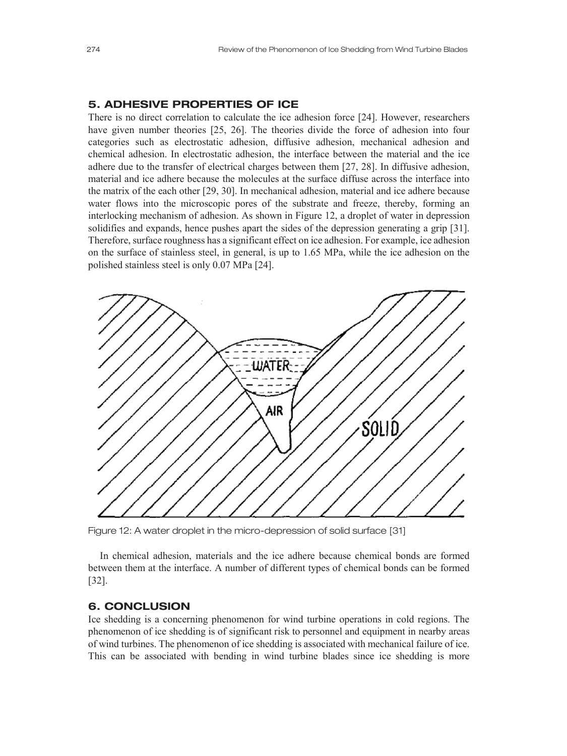#### 5. ADHESIVE PROPERTIES OF ICE

There is no direct correlation to calculate the ice adhesion force [24]. However, researchers have given number theories [25, 26]. The theories divide the force of adhesion into four categories such as electrostatic adhesion, diffusive adhesion, mechanical adhesion and chemical adhesion. In electrostatic adhesion, the interface between the material and the ice adhere due to the transfer of electrical charges between them [27, 28]. In diffusive adhesion, material and ice adhere because the molecules at the surface diffuse across the interface into the matrix of the each other [29, 30]. In mechanical adhesion, material and ice adhere because water flows into the microscopic pores of the substrate and freeze, thereby, forming an interlocking mechanism of adhesion. As shown in Figure 12, a droplet of water in depression solidifies and expands, hence pushes apart the sides of the depression generating a grip [31]. Therefore, surface roughness has a significant effect on ice adhesion. For example, ice adhesion on the surface of stainless steel, in general, is up to 1.65 MPa, while the ice adhesion on the polished stainless steel is only 0.07 MPa [24].



Figure 12: A water droplet in the micro-depression of solid surface [31]

In chemical adhesion, materials and the ice adhere because chemical bonds are formed between them at the interface. A number of different types of chemical bonds can be formed [32].

# 6. CONCLUSION

Ice shedding is a concerning phenomenon for wind turbine operations in cold regions. The phenomenon of ice shedding is of significant risk to personnel and equipment in nearby areas of wind turbines. The phenomenon of ice shedding is associated with mechanical failure of ice. This can be associated with bending in wind turbine blades since ice shedding is more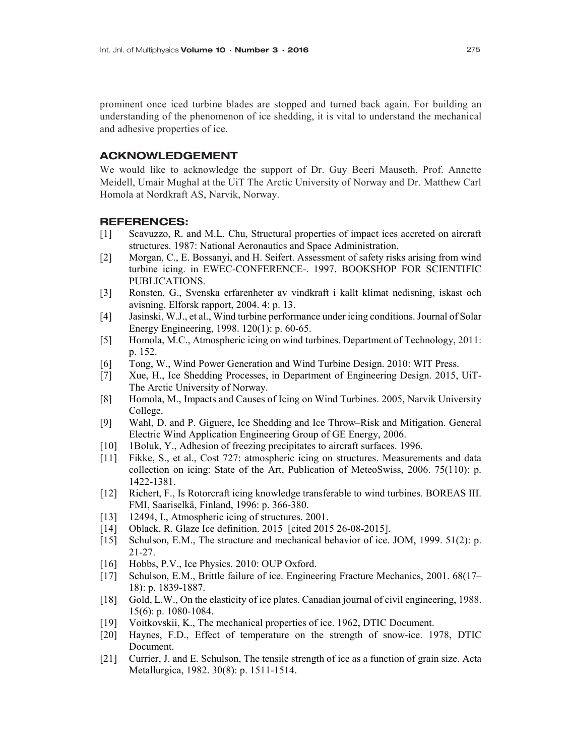prominent once iced turbine blades are stopped and turned back again. For building an understanding of the phenomenon of ice shedding, it is vital to understand the mechanical and adhesive properties of ice.

#### ACKNOWLEDGEMENT

We would like to acknowledge the support of Dr. Guy Beeri Mauseth, Prof. Annette Meidell, Umair Mughal at the UiT The Arctic University of Norway and Dr. Matthew Carl Homola at Nordkraft AS, Narvik, Norway.

#### REFERENCES:

- [1] Scavuzzo, R. and M.L. Chu, Structural properties of impact ices accreted on aircraft structures. 1987: National Aeronautics and Space Administration.
- [2] Morgan, C., E. Bossanyi, and H. Seifert. Assessment of safety risks arising from wind turbine icing. in EWEC-CONFERENCE-. 1997. BOOKSHOP FOR SCIENTIFIC PUBLICATIONS.
- [3] Ronsten, G., Svenska erfarenheter av vindkraft i kallt klimat nedisning, iskast och avisning. Elforsk rapport, 2004. 4: p. 13.
- [4] Jasinski, W.J., et al., Wind turbine performance under icing conditions. Journal of Solar Energy Engineering, 1998. 120(1): p. 60-65.
- [5] Homola, M.C., Atmospheric icing on wind turbines. Department of Technology, 2011: p. 152.
- [6] Tong, W., Wind Power Generation and Wind Turbine Design. 2010: WIT Press.
- [7] Xue, H., Ice Shedding Processes, in Department of Engineering Design. 2015, UiT-The Arctic University of Norway.
- [8] Homola, M., Impacts and Causes of Icing on Wind Turbines. 2005, Narvik University College.
- [9] Wahl, D. and P. Giguere, Ice Shedding and Ice Throw–Risk and Mitigation. General Electric Wind Application Engineering Group of GE Energy, 2006.
- [10] 1Boluk, Y., Adhesion of freezing precipitates to aircraft surfaces. 1996.
- [11] Fikke, S., et al., Cost 727: atmospheric icing on structures. Measurements and data collection on icing: State of the Art, Publication of MeteoSwiss, 2006. 75(110): p. 1422-1381.
- [12] Richert, F., Is Rotorcraft icing knowledge transferable to wind turbines. BOREAS III. FMI, Saariselkä, Finland, 1996: p. 366-380.
- [13] 12494, I., Atmospheric icing of structures. 2001.
- [14] Oblack, R. Glaze Ice definition. 2015 [cited 2015 26-08-2015].
- [15] Schulson, E.M., The structure and mechanical behavior of ice. JOM, 1999. 51(2): p. 21-27.
- [16] Hobbs, P.V., Ice Physics. 2010: OUP Oxford.
- [17] Schulson, E.M., Brittle failure of ice. Engineering Fracture Mechanics, 2001. 68(17– 18): p. 1839-1887.
- [18] Gold, L.W., On the elasticity of ice plates. Canadian journal of civil engineering, 1988. 15(6): p. 1080-1084.
- [19] Voitkovskii, K., The mechanical properties of ice. 1962, DTIC Document.
- [20] Haynes, F.D., Effect of temperature on the strength of snow-ice. 1978, DTIC Document.
- [21] Currier, J. and E. Schulson, The tensile strength of ice as a function of grain size. Acta Metallurgica, 1982. 30(8): p. 1511-1514.